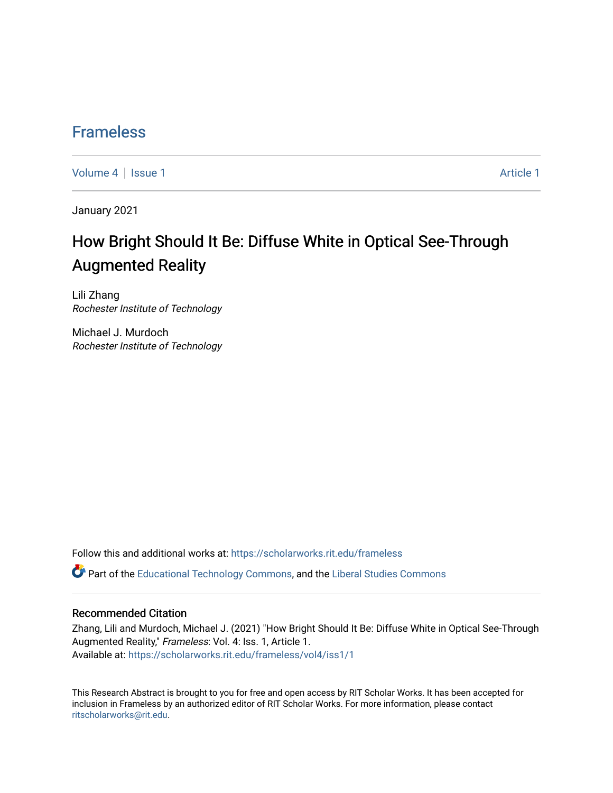## [Frameless](https://scholarworks.rit.edu/frameless)

[Volume 4](https://scholarworks.rit.edu/frameless/vol4) | [Issue 1](https://scholarworks.rit.edu/frameless/vol4/iss1) Article 1

January 2021

## How Bright Should It Be: Diffuse White in Optical See-Through Augmented Reality

Lili Zhang Rochester Institute of Technology

Michael J. Murdoch Rochester Institute of Technology

Follow this and additional works at: [https://scholarworks.rit.edu/frameless](https://scholarworks.rit.edu/frameless?utm_source=scholarworks.rit.edu%2Fframeless%2Fvol4%2Fiss1%2F1&utm_medium=PDF&utm_campaign=PDFCoverPages)

**C** Part of the [Educational Technology Commons,](https://network.bepress.com/hgg/discipline/1415?utm_source=scholarworks.rit.edu%2Fframeless%2Fvol4%2Fiss1%2F1&utm_medium=PDF&utm_campaign=PDFCoverPages) and the Liberal Studies Commons

#### Recommended Citation

Zhang, Lili and Murdoch, Michael J. (2021) "How Bright Should It Be: Diffuse White in Optical See-Through Augmented Reality," Frameless: Vol. 4: Iss. 1, Article 1. Available at: [https://scholarworks.rit.edu/frameless/vol4/iss1/1](https://scholarworks.rit.edu/frameless/vol4/iss1/1?utm_source=scholarworks.rit.edu%2Fframeless%2Fvol4%2Fiss1%2F1&utm_medium=PDF&utm_campaign=PDFCoverPages)

This Research Abstract is brought to you for free and open access by RIT Scholar Works. It has been accepted for inclusion in Frameless by an authorized editor of RIT Scholar Works. For more information, please contact [ritscholarworks@rit.edu](mailto:ritscholarworks@rit.edu).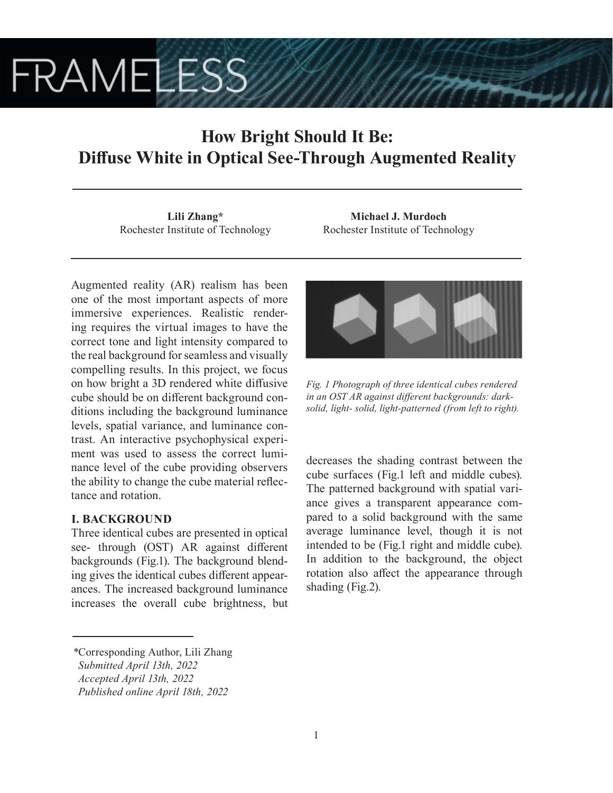# **FRAMELESS**

## **How Bright Should It Be: Diffuse White in Optical See-Through Augmented Reality**

**Lili Zhang\*** Rochester Institute of Technology

**Michael J. Murdoch** Rochester Institute of Technology

Augmented reality (AR) realism has been one of the most important aspects of more immersive experiences. Realistic rendering requires the virtual images to have the correct tone and light intensity compared to the real background for seamless and visually compelling results. In this project, we focus on how bright a 3D rendered white diffusive cube should be on different background conditions including the background luminance levels, spatial variance, and luminance contrast. An interactive psychophysical experiment was used to assess the correct luminance level of the cube providing observers the ability to change the cube material reflectance and rotation.

## **I. BACKGROUND**

Three identical cubes are presented in optical see- through (OST) AR against different backgrounds (Fig.1). The background blending gives the identical cubes different appearances. The increased background luminance increases the overall cube brightness, but



*Fig. 1 Photograph of three identical cubes rendered in an OST AR against different backgrounds: darksolid, light- solid, light-patterned (from left to right).*

decreases the shading contrast between the cube surfaces (Fig.1 left and middle cubes). The patterned background with spatial variance gives a transparent appearance compared to a solid background with the same average luminance level, though it is not intended to be (Fig.1 right and middle cube). In addition to the background, the object rotation also affect the appearance through shading (Fig.2).

*<sup>\*</sup>*Corresponding Author, Lili Zhang

*Submitted April 13th, 2022*

*Accepted April 13th, 2022*

*Published online April 18th, 2022*